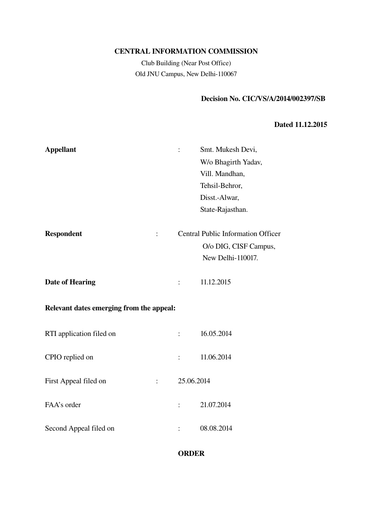# CENTRAL INFORMATION COMMISSION

Club Building (Near Post Office) Old JNU Campus, New Delhi-110067

# Decision No. CIC/VS/A/2014/002397/SB

#### Dated 11.12.2015

| <b>Appellant</b>                                   |                | Smt. Mukesh Devi,                         |
|----------------------------------------------------|----------------|-------------------------------------------|
|                                                    |                | W/o Bhagirth Yadav,                       |
|                                                    |                | Vill. Mandhan,                            |
|                                                    |                | Tehsil-Behror,                            |
|                                                    |                | Disst.-Alwar,                             |
|                                                    |                | State-Rajasthan.                          |
| <b>Respondent</b><br>$\ddot{\cdot}$                |                | <b>Central Public Information Officer</b> |
|                                                    |                | O/o DIG, CISF Campus,                     |
|                                                    |                | New Delhi-110017.                         |
| Date of Hearing                                    |                | 11.12.2015                                |
| Relevant dates emerging from the appeal:           |                |                                           |
| RTI application filed on                           | $\ddot{\cdot}$ | 16.05.2014                                |
| CPIO replied on                                    | $\ddot{\cdot}$ | 11.06.2014                                |
| First Appeal filed on<br>$\mathbb{Z}^{\mathbb{Z}}$ | 25.06.2014     |                                           |
| FAA's order                                        |                | 21.07.2014                                |
| Second Appeal filed on                             |                | 08.08.2014                                |

### ORDER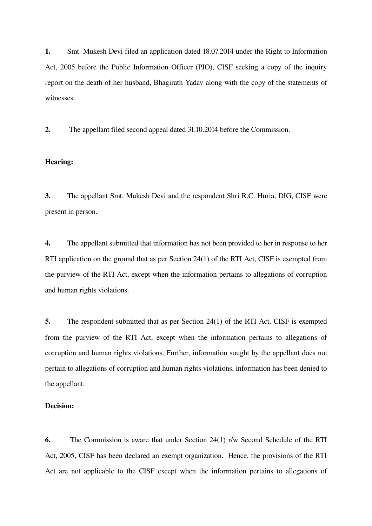1. Smt. Mukesh Devi filed an application dated 18.07.2014 under the Right to Information Act, 2005 before the Public Information Officer (PIO), CISF seeking a copy of the inquiry report on the death of her husband, Bhagirath Yadav along with the copy of the statements of witnesses.

2. The appellant filed second appeal dated 31.10.2014 before the Commission.

#### Hearing:

3. The appellant Smt. Mukesh Devi and the respondent Shri R.C. Huria, DIG, CISF were present in person.

4. The appellant submitted that information has not been provided to her in response to her RTI application on the ground that as per Section 24(1) of the RTI Act, CISF is exempted from the purview of the RTI Act, except when the information pertains to allegations of corruption and human rights violations.

5. The respondent submitted that as per Section 24(1) of the RTI Act, CISF is exempted from the purview of the RTI Act, except when the information pertains to allegations of corruption and human rights violations. Further, information sought by the appellant does not pertain to allegations of corruption and human rights violations, information has been denied to the appellant.

#### Decision:

6. The Commission is aware that under Section 24(1) r/w Second Schedule of the RTI Act, 2005, CISF has been declared an exempt organization. Hence, the provisions of the RTI Act are not applicable to the CISF except when the information pertains to allegations of